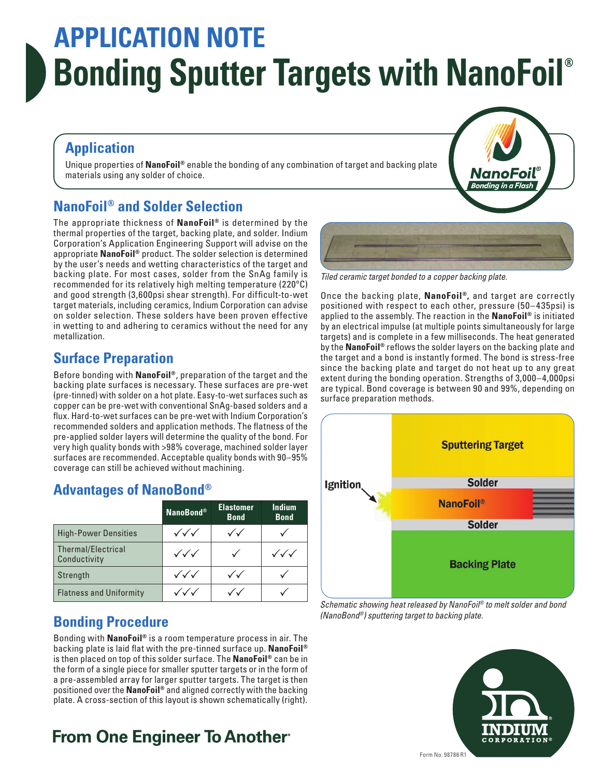# **APPLICATION NOTE Bonding Sputter Targets with NanoFoil®**

## **Application**

Unique properties of **NanoFoil®** enable the bonding of any combination of target and backing plate materials using any solder of choice.

## **NanoFoil® and Solder Selection**

The appropriate thickness of **NanoFoil®** is determined by the thermal properties of the target, backing plate, and solder. Indium Corporation's Application Engineering Support will advise on the appropriate **NanoFoil®** product. The solder selection is determined by the user's needs and wetting characteristics of the target and backing plate. For most cases, solder from the SnAg family is recommended for its relatively high melting temperature (220ºC) and good strength (3,600psi shear strength). For difficult-to-wet target materials, including ceramics, Indium Corporation can advise on solder selection. These solders have been proven effective in wetting to and adhering to ceramics without the need for any metallization.

## **Surface Preparation**

Before bonding with **NanoFoil®**, preparation of the target and the backing plate surfaces is necessary. These surfaces are pre-wet (pre-tinned) with solder on a hot plate. Easy-to-wet surfaces such as copper can be pre-wet with conventional SnAg-based solders and a flux. Hard-to-wet surfaces can be pre-wet with Indium Corporation's recommended solders and application methods. The flatness of the pre-applied solder layers will determine the quality of the bond. For very high quality bonds with >98% coverage, machined solder layer surfaces are recommended. Acceptable quality bonds with 90–95% coverage can still be achieved without machining.

### **Advantages of NanoBond®**

|                                    | <b>NanoBond®</b>                 | <b>Elastomer</b><br><b>Bond</b> | <b>Indium</b><br><b>Bond</b>     |
|------------------------------------|----------------------------------|---------------------------------|----------------------------------|
| <b>High-Power Densities</b>        | $\sqrt{\sqrt{}}$                 | $\checkmark$                    |                                  |
| Thermal/Electrical<br>Conductivity | $\sqrt{\sqrt{}}$                 |                                 | $\checkmark\checkmark\checkmark$ |
| Strength                           | $\sqrt{\sqrt{}}$                 | $\checkmark$                    |                                  |
| <b>Flatness and Uniformity</b>     | $\checkmark\checkmark\checkmark$ |                                 |                                  |

## **Bonding Procedure**

Bonding with **NanoFoil®** is a room temperature process in air. The backing plate is laid flat with the pre-tinned surface up. **NanoFoil®** is then placed on top of this solder surface. The **NanoFoil®** can be in the form of a single piece for smaller sputter targets or in the form of a pre-assembled array for larger sputter targets. The target is then positioned over the **NanoFoil®** and aligned correctly with the backing plate. A cross-section of this layout is shown schematically (right).

## **From One Engineer To Another**





*Tiled ceramic target bonded to a copper backing plate.*

Once the backing plate, **NanoFoil®,** and target are correctly positioned with respect to each other, pressure (50–435psi) is applied to the assembly. The reaction in the **NanoFoil®** is initiated by an electrical impulse (at multiple points simultaneously for large targets) and is complete in a few milliseconds. The heat generated by the **NanoFoil®** reflows the solder layers on the backing plate and the target and a bond is instantly formed. The bond is stress-free since the backing plate and target do not heat up to any great extent during the bonding operation. Strengths of 3,000–4,000psi are typical. Bond coverage is between 90 and 99%, depending on surface preparation methods.



*Schematic showing heat released by NanoFoil® to melt solder and bond (NanoBond®) sputtering target to backing plate.*